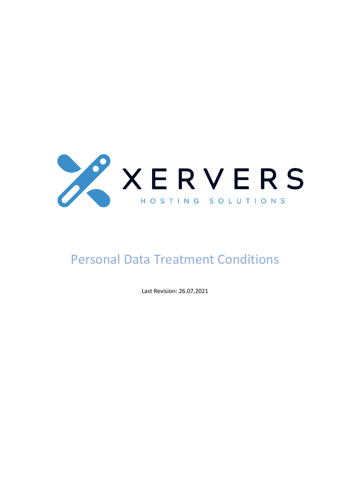

# Personal Data Treatment Conditions

Last Revision: 26.07.2021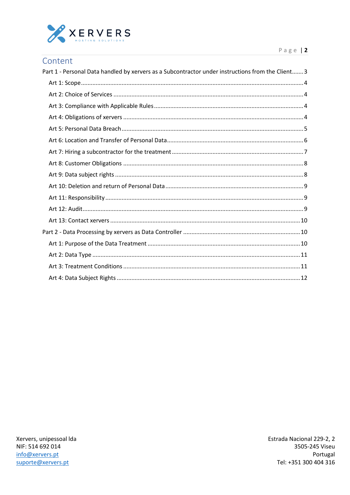

| Content |  |  |  |
|---------|--|--|--|
|         |  |  |  |

| Part 1 - Personal Data handled by xervers as a Subcontractor under instructions from the Client 3 |
|---------------------------------------------------------------------------------------------------|
|                                                                                                   |
|                                                                                                   |
|                                                                                                   |
|                                                                                                   |
|                                                                                                   |
|                                                                                                   |
|                                                                                                   |
|                                                                                                   |
|                                                                                                   |
|                                                                                                   |
|                                                                                                   |
|                                                                                                   |
|                                                                                                   |
|                                                                                                   |
|                                                                                                   |
|                                                                                                   |
|                                                                                                   |
|                                                                                                   |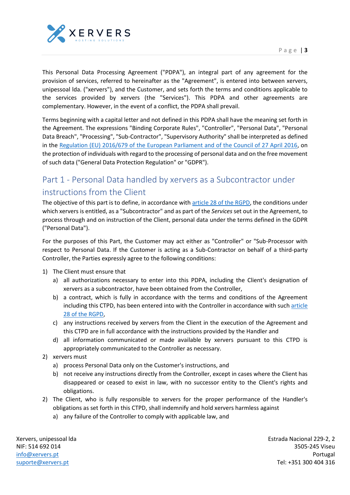

This Personal Data Processing Agreement ("PDPA"), an integral part of any agreement for the provision of services, referred to hereinafter as the "Agreement", is entered into between xervers, unipessoal lda. ("xervers"), and the Customer, and sets forth the terms and conditions applicable to the services provided by xervers (the "Services"). This PDPA and other agreements are complementary. However, in the event of a conflict, the PDPA shall prevail.

Terms beginning with a capital letter and not defined in this PDPA shall have the meaning set forth in the Agreement. The expressions "Binding Corporate Rules", "Controller", "Personal Data", "Personal Data Breach", "Processing", "Sub-Contractor", "Supervisory Authority" shall be interpreted as defined in the Regulation (EU) 2016/679 of the European Parliament and of the Council of 27 April 2016, on the protection of individuals with regard to the processing of personal data and on the free movement of such data ("General Data Protection Regulation" or "GDPR").

## <span id="page-2-0"></span>Part 1 - Personal Data handled by xervers as a Subcontractor under instructions from the Client

The objective of this part is to define, in accordance with article 28 of the RGPD, the conditions under which xervers is entitled, as a "Subcontractor" and as part of the *Services* set out in the Agreement, to process through and on instruction of the Client, personal data under the terms defined in the GDPR ("Personal Data").

For the purposes of this Part, the Customer may act either as "Controller" or "Sub-Processor with respect to Personal Data. If the Customer is acting as a Sub-Contractor on behalf of a third-party Controller, the Parties expressly agree to the following conditions:

- 1) The Client must ensure that
	- a) all authorizations necessary to enter into this PDPA, including the Client's designation of xervers as a subcontractor, have been obtained from the Controller,
	- b) a contract, which is fully in accordance with the terms and conditions of the Agreement including this CTPD, has been entered into with the Controller in accordance with such article 28 of the RGPD,
	- c) any instructions received by xervers from the Client in the execution of the Agreement and this CTPD are in full accordance with the instructions provided by the Handler and
	- d) all information communicated or made available by xervers pursuant to this CTPD is appropriately communicated to the Controller as necessary.
- 2) xervers must
	- a) process Personal Data only on the Customer's instructions, and
	- b) not receive any instructions directly from the Controller, except in cases where the Client has disappeared or ceased to exist in law, with no successor entity to the Client's rights and obligations.
- 2) The Client, who is fully responsible to xervers for the proper performance of the Handler's obligations as set forth in this CTPD, shall indemnify and hold xervers harmless against
	- a) any failure of the Controller to comply with applicable law, and

Xervers, unipessoal lda NIF: 514 692 014 [info@xervers.pt](mailto:info@xervers.pt) [suporte@xervers.pt](mailto:suporte@xervers.pt)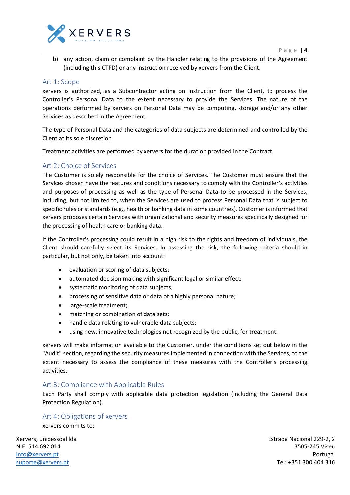

b) any action, claim or complaint by the Handler relating to the provisions of the Agreement (including this CTPD) or any instruction received by xervers from the Client.

#### <span id="page-3-0"></span>Art 1: Scope

xervers is authorized, as a Subcontractor acting on instruction from the Client, to process the Controller's Personal Data to the extent necessary to provide the Services. The nature of the operations performed by xervers on Personal Data may be computing, storage and/or any other Services as described in the Agreement.

The type of Personal Data and the categories of data subjects are determined and controlled by the Client at its sole discretion.

Treatment activities are performed by xervers for the duration provided in the Contract.

#### <span id="page-3-1"></span>Art 2: Choice of Services

The Customer is solely responsible for the choice of Services. The Customer must ensure that the Services chosen have the features and conditions necessary to comply with the Controller's activities and purposes of processing as well as the type of Personal Data to be processed in the Services, including, but not limited to, when the Services are used to process Personal Data that is subject to specific rules or standards (e.g., health or banking data in some countries). Customer is informed that xervers proposes certain Services with organizational and security measures specifically designed for the processing of health care or banking data.

If the Controller's processing could result in a high risk to the rights and freedom of individuals, the Client should carefully select its Services. In assessing the risk, the following criteria should in particular, but not only, be taken into account:

- evaluation or scoring of data subjects;
- automated decision making with significant legal or similar effect;
- systematic monitoring of data subjects;
- processing of sensitive data or data of a highly personal nature;
- large-scale treatment;
- matching or combination of data sets;
- handle data relating to vulnerable data subjects;
- using new, innovative technologies not recognized by the public, for treatment.

xervers will make information available to the Customer, under the conditions set out below in the "Audit" section, regarding the security measures implemented in connection with the Services, to the extent necessary to assess the compliance of these measures with the Controller's processing activities.

#### <span id="page-3-2"></span>Art 3: Compliance with Applicable Rules

Each Party shall comply with applicable data protection legislation (including the General Data Protection Regulation).

#### <span id="page-3-3"></span>Art 4: Obligations of xervers

xervers commits to:

Xervers, unipessoal lda NIF: 514 692 014 [info@xervers.pt](mailto:info@xervers.pt) [suporte@xervers.pt](mailto:suporte@xervers.pt)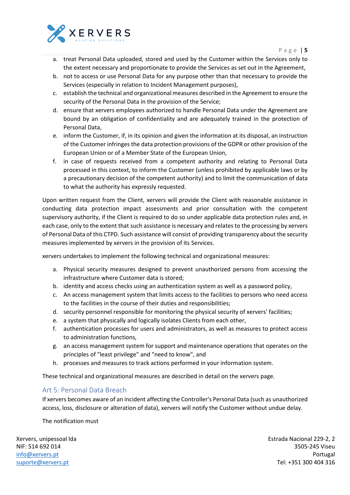

P a g e | **5**

- a. treat Personal Data uploaded, stored and used by the Customer within the Services only to the extent necessary and proportionate to provide the Services as set out in the Agreement,
- b. not to access or use Personal Data for any purpose other than that necessary to provide the Services (especially in relation to Incident Management purposes),
- c. establish the technical and organizational measures described in the Agreement to ensure the security of the Personal Data in the provision of the Service;
- d. ensure that xervers employees authorized to handle Personal Data under the Agreement are bound by an obligation of confidentiality and are adequately trained in the protection of Personal Data,
- e. inform the Customer, if, in its opinion and given the information at its disposal, an instruction of the Customer infringes the data protection provisions of the GDPR or other provision of the European Union or of a Member State of the European Union,
- f. in case of requests received from a competent authority and relating to Personal Data processed in this context, to inform the Customer (unless prohibited by applicable laws or by a precautionary decision of the competent authority) and to limit the communication of data to what the authority has expressly requested.

Upon written request from the Client, xervers will provide the Client with reasonable assistance in conducting data protection impact assessments and prior consultation with the competent supervisory authority, if the Client is required to do so under applicable data protection rules and, in each case, only to the extent that such assistance is necessary and relates to the processing by xervers of Personal Data of this CTPD. Such assistance will consist of providing transparency about the security measures implemented by xervers in the provision of its Services.

xervers undertakes to implement the following technical and organizational measures:

- a. Physical security measures designed to prevent unauthorized persons from accessing the infrastructure where Customer data is stored;
- b. identity and access checks using an authentication system as well as a password policy,
- c. An access management system that limits access to the facilities to persons who need access to the facilities in the course of their duties and responsibilities;
- d. security personnel responsible for monitoring the physical security of xervers' facilities;
- e. a system that physically and logically isolates Clients from each other,
- f. authentication processes for users and administrators, as well as measures to protect access to administration functions,
- g. an access management system for support and maintenance operations that operates on the principles of "least privilege" and "need to know", and
- h. processes and measures to track actions performed in your information system.

These technical and organizational measures are described in detail on the xervers page.

#### <span id="page-4-0"></span>Art 5: Personal Data Breach

If xervers becomes aware of an incident affecting the Controller's Personal Data (such as unauthorized access, loss, disclosure or alteration of data), xervers will notify the Customer without undue delay.

The notification must

Xervers, unipessoal lda NIF: 514 692 014 [info@xervers.pt](mailto:info@xervers.pt) [suporte@xervers.pt](mailto:suporte@xervers.pt)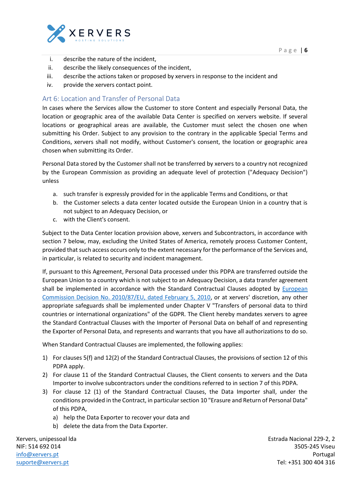

- i. describe the nature of the incident,
- ii. describe the likely consequences of the incident,
- iii. describe the actions taken or proposed by xervers in response to the incident and
- iv. provide the xervers contact point.

#### <span id="page-5-0"></span>Art 6: Location and Transfer of Personal Data

In cases where the Services allow the Customer to store Content and especially Personal Data, the location or geographic area of the available Data Center is specified on xervers website. If several locations or geographical areas are available, the Customer must select the chosen one when submitting his Order. Subject to any provision to the contrary in the applicable Special Terms and Conditions, xervers shall not modify, without Customer's consent, the location or geographic area chosen when submitting its Order.

Personal Data stored by the Customer shall not be transferred by xervers to a country not recognized by the European Commission as providing an adequate level of protection ("Adequacy Decision") unless

- a. such transfer is expressly provided for in the applicable Terms and Conditions, or that
- b. the Customer selects a data center located outside the European Union in a country that is not subject to an Adequacy Decision, or
- c. with the Client's consent.

Subject to the Data Center location provision above, xervers and Subcontractors, in accordance with section 7 below, may, excluding the United States of America, remotely process Customer Content, provided that such access occurs only to the extent necessary for the performance of the Services and, in particular, is related to security and incident management.

If, pursuant to this Agreement, Personal Data processed under this PDPA are transferred outside the European Union to a country which is not subject to an Adequacy Decision, a data transfer agreement shall be implemented in accordance with the Standard Contractual Clauses adopted by European Commission Decision No. 2010/87/EU, dated February 5, 2010, or at xervers' discretion, any other appropriate safeguards shall be implemented under Chapter V "Transfers of personal data to third countries or international organizations" of the GDPR. The Client hereby mandates xervers to agree the Standard Contractual Clauses with the Importer of Personal Data on behalf of and representing the Exporter of Personal Data, and represents and warrants that you have all authorizations to do so.

When Standard Contractual Clauses are implemented, the following applies:

- 1) For clauses 5(f) and 12(2) of the Standard Contractual Clauses, the provisions of section 12 of this PDPA apply.
- 2) For clause 11 of the Standard Contractual Clauses, the Client consents to xervers and the Data Importer to involve subcontractors under the conditions referred to in section 7 of this PDPA.
- 3) For clause 12 (1) of the Standard Contractual Clauses, the Data Importer shall, under the conditions provided in the Contract, in particular section 10 "Erasure and Return of Personal Data" of this PDPA,
	- a) help the Data Exporter to recover your data and
	- b) delete the data from the Data Exporter.

Xervers, unipessoal lda NIF: 514 692 014 [info@xervers.pt](mailto:info@xervers.pt) [suporte@xervers.pt](mailto:suporte@xervers.pt)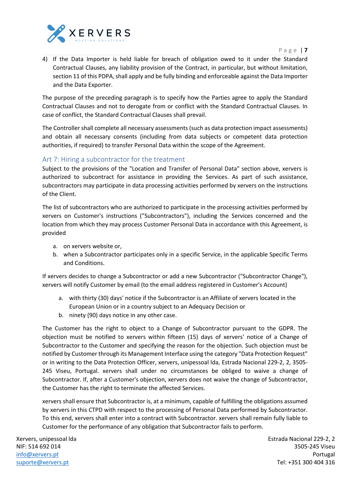

P a g e | **7**

4) If the Data Importer is held liable for breach of obligation owed to it under the Standard Contractual Clauses, any liability provision of the Contract, in particular, but without limitation, section 11 of this PDPA, shall apply and be fully binding and enforceable against the Data Importer and the Data Exporter.

The purpose of the preceding paragraph is to specify how the Parties agree to apply the Standard Contractual Clauses and not to derogate from or conflict with the Standard Contractual Clauses. In case of conflict, the Standard Contractual Clauses shall prevail.

The Controller shall complete all necessary assessments (such as data protection impact assessments) and obtain all necessary consents (including from data subjects or competent data protection authorities, if required) to transfer Personal Data within the scope of the Agreement.

#### <span id="page-6-0"></span>Art 7: Hiring a subcontractor for the treatment

Subject to the provisions of the "Location and Transfer of Personal Data" section above, xervers is authorized to subcontract for assistance in providing the Services. As part of such assistance, subcontractors may participate in data processing activities performed by xervers on the instructions of the Client.

The list of subcontractors who are authorized to participate in the processing activities performed by xervers on Customer's instructions ("Subcontractors"), including the Services concerned and the location from which they may process Customer Personal Data in accordance with this Agreement, is provided

- a. on xervers website or,
- b. when a Subcontractor participates only in a specific Service, in the applicable Specific Terms and Conditions.

If xervers decides to change a Subcontractor or add a new Subcontractor ("Subcontractor Change"), xervers will notify Customer by email (to the email address registered in Customer's Account)

- a. with thirty (30) days' notice if the Subcontractor is an Affiliate of xervers located in the European Union or in a country subject to an Adequacy Decision or
- b. ninety (90) days notice in any other case.

The Customer has the right to object to a Change of Subcontractor pursuant to the GDPR. The objection must be notified to xervers within fifteen (15) days of xervers' notice of a Change of Subcontractor to the Customer and specifying the reason for the objection. Such objection must be notified by Customer through its Management Interface using the category "Data Protection Request" or in writing to the Data Protection Officer, xervers, unipessoal lda, Estrada Nacional 229-2, 2, 3505- 245 Viseu, Portugal. xervers shall under no circumstances be obliged to waive a change of Subcontractor. If, after a Customer's objection, xervers does not waive the change of Subcontractor, the Customer has the right to terminate the affected Services.

xervers shall ensure that Subcontractor is, at a minimum, capable of fulfilling the obligations assumed by xervers in this CTPD with respect to the processing of Personal Data performed by Subcontractor. To this end, xervers shall enter into a contract with Subcontractor. xervers shall remain fully liable to Customer for the performance of any obligation that Subcontractor fails to perform.

Xervers, unipessoal lda NIF: 514 692 014 [info@xervers.pt](mailto:info@xervers.pt) [suporte@xervers.pt](mailto:suporte@xervers.pt)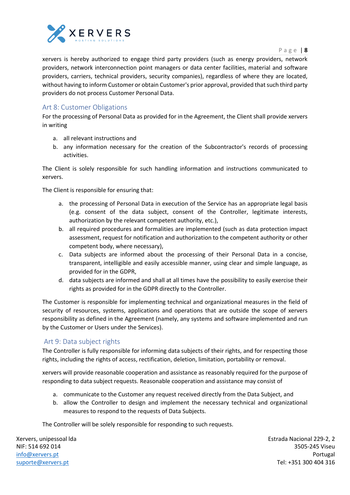

P a g e | **8**

xervers is hereby authorized to engage third party providers (such as energy providers, network providers, network interconnection point managers or data center facilities, material and software providers, carriers, technical providers, security companies), regardless of where they are located, without having to inform Customer or obtain Customer's prior approval, provided that such third party providers do not process Customer Personal Data.

#### <span id="page-7-0"></span>Art 8: Customer Obligations

For the processing of Personal Data as provided for in the Agreement, the Client shall provide xervers in writing

- a. all relevant instructions and
- b. any information necessary for the creation of the Subcontractor's records of processing activities.

The Client is solely responsible for such handling information and instructions communicated to xervers.

The Client is responsible for ensuring that:

- a. the processing of Personal Data in execution of the Service has an appropriate legal basis (e.g. consent of the data subject, consent of the Controller, legitimate interests, authorization by the relevant competent authority, etc.),
- b. all required procedures and formalities are implemented (such as data protection impact assessment, request for notification and authorization to the competent authority or other competent body, where necessary),
- c. Data subjects are informed about the processing of their Personal Data in a concise, transparent, intelligible and easily accessible manner, using clear and simple language, as provided for in the GDPR,
- d. data subjects are informed and shall at all times have the possibility to easily exercise their rights as provided for in the GDPR directly to the Controller.

The Customer is responsible for implementing technical and organizational measures in the field of security of resources, systems, applications and operations that are outside the scope of xervers responsibility as defined in the Agreement (namely, any systems and software implemented and run by the Customer or Users under the Services).

#### <span id="page-7-1"></span>Art 9: Data subject rights

The Controller is fully responsible for informing data subjects of their rights, and for respecting those rights, including the rights of access, rectification, deletion, limitation, portability or removal.

xervers will provide reasonable cooperation and assistance as reasonably required for the purpose of responding to data subject requests. Reasonable cooperation and assistance may consist of

- a. communicate to the Customer any request received directly from the Data Subject, and
- b. allow the Controller to design and implement the necessary technical and organizational measures to respond to the requests of Data Subjects.

The Controller will be solely responsible for responding to such requests.

Xervers, unipessoal lda NIF: 514 692 014 [info@xervers.pt](mailto:info@xervers.pt) [suporte@xervers.pt](mailto:suporte@xervers.pt)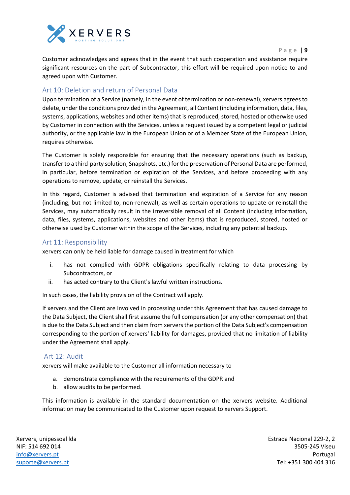

Customer acknowledges and agrees that in the event that such cooperation and assistance require significant resources on the part of Subcontractor, this effort will be required upon notice to and agreed upon with Customer.

#### <span id="page-8-0"></span>Art 10: Deletion and return of Personal Data

Upon termination of a Service (namely, in the event of termination or non-renewal), xervers agrees to delete, under the conditions provided in the Agreement, all Content (including information, data, files, systems, applications, websites and other items) that is reproduced, stored, hosted or otherwise used by Customer in connection with the Services, unless a request issued by a competent legal or judicial authority, or the applicable law in the European Union or of a Member State of the European Union, requires otherwise.

The Customer is solely responsible for ensuring that the necessary operations (such as backup, transfer to a third-party solution, Snapshots, etc.) for the preservation of Personal Data are performed, in particular, before termination or expiration of the Services, and before proceeding with any operations to remove, update, or reinstall the Services.

In this regard, Customer is advised that termination and expiration of a Service for any reason (including, but not limited to, non-renewal), as well as certain operations to update or reinstall the Services, may automatically result in the irreversible removal of all Content (including information, data, files, systems, applications, websites and other items) that is reproduced, stored, hosted or otherwise used by Customer within the scope of the Services, including any potential backup.

#### <span id="page-8-1"></span>Art 11: Responsibility

xervers can only be held liable for damage caused in treatment for which

- i. has not complied with GDPR obligations specifically relating to data processing by Subcontractors, or
- ii. has acted contrary to the Client's lawful written instructions.

In such cases, the liability provision of the Contract will apply.

If xervers and the Client are involved in processing under this Agreement that has caused damage to the Data Subject, the Client shall first assume the full compensation (or any other compensation) that is due to the Data Subject and then claim from xervers the portion of the Data Subject's compensation corresponding to the portion of xervers' liability for damages, provided that no limitation of liability under the Agreement shall apply.

#### <span id="page-8-2"></span>Art 12: Audit

xervers will make available to the Customer all information necessary to

- a. demonstrate compliance with the requirements of the GDPR and
- b. allow audits to be performed.

This information is available in the standard documentation on the xervers website. Additional information may be communicated to the Customer upon request to xervers Support.

Xervers, unipessoal lda NIF: 514 692 014 [info@xervers.pt](mailto:info@xervers.pt) [suporte@xervers.pt](mailto:suporte@xervers.pt)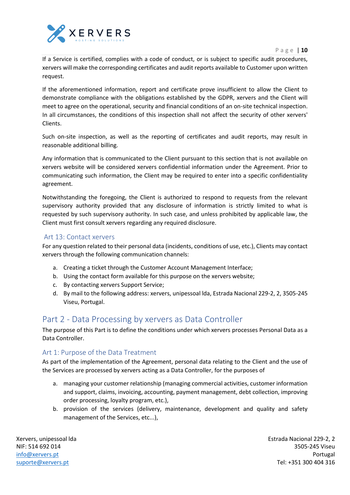



If a Service is certified, complies with a code of conduct, or is subject to specific audit procedures, xervers will make the corresponding certificates and audit reports available to Customer upon written request.

If the aforementioned information, report and certificate prove insufficient to allow the Client to demonstrate compliance with the obligations established by the GDPR, xervers and the Client will meet to agree on the operational, security and financial conditions of an on-site technical inspection. In all circumstances, the conditions of this inspection shall not affect the security of other xervers' Clients.

Such on-site inspection, as well as the reporting of certificates and audit reports, may result in reasonable additional billing.

Any information that is communicated to the Client pursuant to this section that is not available on xervers website will be considered xervers confidential information under the Agreement. Prior to communicating such information, the Client may be required to enter into a specific confidentiality agreement.

Notwithstanding the foregoing, the Client is authorized to respond to requests from the relevant supervisory authority provided that any disclosure of information is strictly limited to what is requested by such supervisory authority. In such case, and unless prohibited by applicable law, the Client must first consult xervers regarding any required disclosure.

#### <span id="page-9-0"></span>Art 13: Contact xervers

For any question related to their personal data (incidents, conditions of use, etc.), Clients may contact xervers through the following communication channels:

- a. Creating a ticket through the Customer Account Management Interface;
- b. Using the contact form available for this purpose on the xervers website;
- c. By contacting xervers Support Service;
- d. By mail to the following address: xervers, unipessoal lda, Estrada Nacional 229-2, 2, 3505-245 Viseu, Portugal.

### <span id="page-9-1"></span>Part 2 - Data Processing by xervers as Data Controller

The purpose of this Part is to define the conditions under which xervers processes Personal Data as a Data Controller.

#### <span id="page-9-2"></span>Art 1: Purpose of the Data Treatment

As part of the implementation of the Agreement, personal data relating to the Client and the use of the Services are processed by xervers acting as a Data Controller, for the purposes of

- a. managing your customer relationship (managing commercial activities, customer information and support, claims, invoicing, accounting, payment management, debt collection, improving order processing, loyalty program, etc.),
- b. provision of the services (delivery, maintenance, development and quality and safety management of the Services, etc...),

Xervers, unipessoal lda NIF: 514 692 014 [info@xervers.pt](mailto:info@xervers.pt) [suporte@xervers.pt](mailto:suporte@xervers.pt)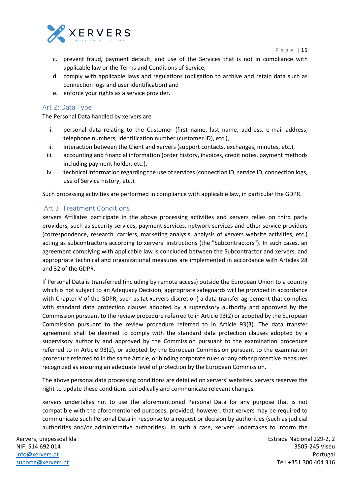

- c. prevent fraud, payment default, and use of the Services that is not in compliance with applicable law or the Terms and Conditions of Service;
- d. comply with applicable laws and regulations (obligation to archive and retain data such as connection logs and user identification) and
- e. enforce your rights as a service provider.

#### <span id="page-10-0"></span>Art 2: Data Type

The Personal Data handled by xervers are

- i. personal data relating to the Customer (first name, last name, address, e-mail address, telephone numbers, identification number (customer ID), etc.),
- ii. interaction between the Client and xervers (support contacts, exchanges, minutes, etc.),
- iii. accounting and financial information (order history, invoices, credit notes, payment methods including payment holder, etc.),
- iv. technical information regarding the use of services (connection ID, service ID, connection logs, use of Service history, etc.).

Such processing activities are performed in compliance with applicable law, in particular the GDPR.

#### <span id="page-10-1"></span>Art 3: Treatment Conditions

xervers Affiliates participate in the above processing activities and xervers relies on third party providers, such as security services, payment services, network services and other service providers (correspondence, research, carriers, marketing analysis, analysis of xervers website activities, etc.) acting as subcontractors according to xervers' instructions (the "Subcontractors"). In such cases, an agreement complying with applicable law is concluded between the Subcontractor and xervers, and appropriate technical and organizational measures are implemented in accordance with Articles 28 and 32 of the GDPR.

If Personal Data is transferred (including by remote access) outside the European Union to a country which is not subject to an Adequacy Decision, appropriate safeguards will be provided in accordance with Chapter V of the GDPR, such as (at xervers discretion) a data transfer agreement that complies with standard data protection clauses adopted by a supervisory authority and approved by the Commission pursuant to the review procedure referred to in Article 93(2) or adopted by the European Commission pursuant to the review procedure referred to in Article 93(3). The data transfer agreement shall be deemed to comply with the standard data protection clauses adopted by a supervisory authority and approved by the Commission pursuant to the examination procedure referred to in Article 93(2), or adopted by the European Commission pursuant to the examination procedure referred to in the same Article, or binding corporate rules or any other protective measures recognized as ensuring an adequate level of protection by the European Commission.

The above personal data processing conditions are detailed on xervers' websites. xervers reserves the right to update these conditions periodically and communicate relevant changes.

xervers undertakes not to use the aforementioned Personal Data for any purpose that is not compatible with the aforementioned purposes, provided, however, that xervers may be required to communicate such Personal Data in response to a request or decision by authorities (such as judicial authorities and/or administrative authorities). In such a case, xervers undertakes to inform the

Xervers, unipessoal lda NIF: 514 692 014 [info@xervers.pt](mailto:info@xervers.pt) [suporte@xervers.pt](mailto:suporte@xervers.pt)